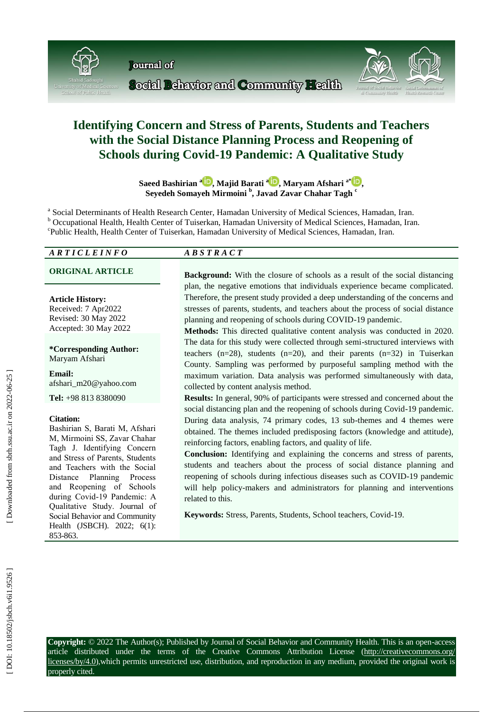

# **Identifying Concern and Stress of Parents, Students and Teachers with the Social Distance Planning Process and Reopening of Schools during Covid -19 Pandemic : A Qualitative Study**

Saeed Bashirian <sup>a</sup>D[,](https://orcid.org/0000-200003-202133-20087X) M[a](https://orcid.org/0000-0002-5152-1928)jid Barati <sup>aD</sup>, Maryam Afshari <sup>a[\\*](https://orcid.org/0000-0001-5967-7575)</sup>D, **Seyedeh Somayeh Mirmoini b , Javad Zavar Chahar Tagh c**

a Social Determinants of Health Research Center, Hamadan University of Medical Sciences, Hamadan, Iran. b Occupational Health, Health Center of Tuiserkan, Hamadan University of Medical Sciences, Hamadan, Iran. Public Health, Health Center of Tuiserkan, Hamadan University of Medical Sciences, Hamadan, Iran.

## *A R T I C L E I N F O A B S T R A C T*

#### **Article History:**

Received: 7 Apr2022 Revised: 30 May 2022 Accepted: 30 May 2022

#### **\*Corresponding Author:** Maryam Afshari

**Email:** afshari\_m20@yahoo.com

**Tel:** +98 813 8380090

#### **Citation:**

Bashirian S, Barati M, Afshari M, Mirmoini SS, Zavar Chahar Tagh J . Identifying Concern and Stress of Parents, Students and Teachers with the Social Distance Planning Process and Reopening of Schools during Covid -19 Pandemic : A Qualitative Study. Journal of Social Behavior and Community Health (JSBCH). 2022; 6(1): 853-863.

**ORIGINAL ARTICLE Background:** With the closure of schools as a result of the social distancing plan, the negative emotions that individuals experience became complicated. Therefore, the present study provided a deep understanding of the concerns and stresses of parents, students, and teachers about the process of social distance planning and reopening of schools during COVID -19 pandemic.

> **Methods:** This directed qualitative content analysis was conducted in 2020. The data for this study were collected through semi -structured interviews with teachers  $(n=28)$ , students  $(n=20)$ , and their parents  $(n=32)$  in Tuiserkan County. Sampling was performed by purposeful sampling method with the maximum variation. Data analysis was performed simultaneously with data, collected by content analysis method.

> **Results:** In general, 90% of participants were stressed and concerned about the social distancing plan and the reopening of schools during Covid-19 pandemic. During data analysis, 74 primary codes, 13 sub -themes and 4 themes were obtained. The themes included predisposing factors (knowledge and attitude), reinforcing factors, enabling factors, and quality of life.

> **Conclusion:** Identifying and explaining the concerns and stress of parents, students and teachers about the process of social distance planning and reopening of schools during infectious diseases such as COVID -19 pandemic will help policy -makers and administrators for planning and interventions related to this.

**Keywords:** Stress, Parents, Students, [School teachers,](https://www.ncbi.nlm.nih.gov/mesh/2016322) Covid -19.

**Copyright:** © 2022 The Author(s); Published by Journal of Social Behavior and Community Health. This is an open -access article distributed under the terms of the Creative Commons Attribution License (http://creativecommons.org/ licenses/by/4.0),which permits unrestricted use, distribution, and reproduction in any medium, provided the original work is properly cited.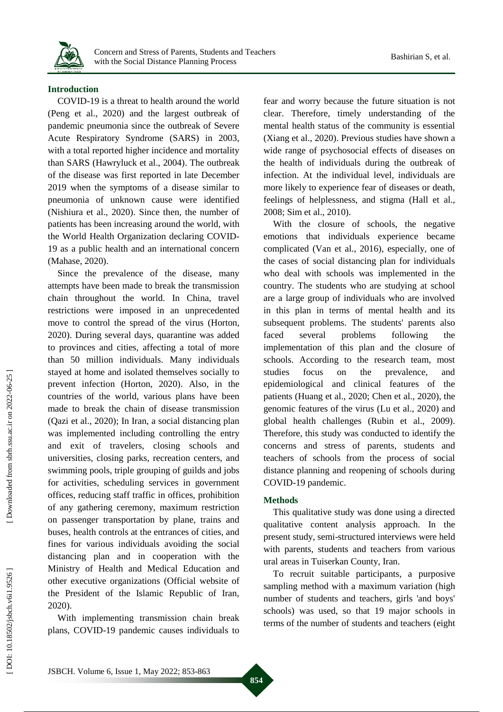

## **Introduction**

COVID -19 is a threat to health around the world (Peng et al., 2020) and the largest outbreak of pandemic pneumonia since the outbreak of Severe Acute Respiratory Syndrome (SARS) in 2003, with a total reported higher incidence and mortality than SARS (Hawryluck et al., 2004). The outbreak of the disease was first reported in late December 2019 when the symptoms of a disease similar to pneumonia of unknown cause were identified (Nishiura et al., 2020). Since then, the number of patients has been increasing around the world, with the World Health Organization declaring COVID - 19 as a public health and an international concern (Mahase, 2020) .

Since the prevalence of the disease, many attempts have been made to break the transmission chain throughout the world. In China, travel restrictions were imposed in an unprecedented move to control the spread of the virus (Horton, 2020). During several days, quarantine was added to provinces and cities, affecting a total of more than 50 million individuals. Many individuals stayed at home and isolated themselves socially to prevent infection (Horton, 2020). Also, in the countries of the world, various plans have been made to break the chain of disease transmission (Qazi et al., 2020) ; In Iran, a social distancing plan was implemented including controlling the entry and exit of travelers, closing schools and universities, closing parks, recreation centers, and swimming pools, triple grouping of guilds and jobs for activities, scheduling services in government offices, reducing staff traffic in offices, prohibition of any gathering ceremony, maximum restriction on passenger transportation by plane, trains and buses, health controls at the entrances of cities, and fines for various individuals avoiding the social distancing plan and in cooperation with the Ministry of Health and Medical Education and other executive organizations (Official website of the President of the Islamic Republic of Iran, 2020) .

With implementing transmission chain break plans, COVID -19 pandemic causes individuals to fear and worry because the future situation is not clear. Therefore, timely understanding of the mental health status of the community is essential (Xiang et al., 2020). Previous studies have shown a wide range of psychosocial effects of diseases on the health of individuals during the outbreak of infection. At the individual level, individuals are more likely to experience fear of diseases or death, feelings of helplessness, and stigma (Hall et al., 2008; Sim et al., 2010) .

With the closure of schools, the negative emotions that individuals experience became complicated (Van et al., 2016), especially, one of the cases of social distancing plan for individuals who deal with schools was implemented in the country. The students who are studying at school are a large group of individuals who are involved in this plan in terms of mental health and its subsequent problems. The students' parents also faced several problems following the implementation of this plan and the closure of schools. According to the research team, most studies focus on the prevalence, and epidemiological and clinical features of the patients (Huang et al., 2020; Chen et al., 2020), the genomic features of the virus (Lu et al., 2020) and global health challenges (Rubin et al., 2009). Therefore, this study was conducted to identify the concerns and stress of parents, students and teachers of schools from the process of social distance planning and reopening of schools during COVID -19 pandemic .

#### **Method s**

This qualitative study was done using a directed qualitative content analysis approach. In the present study, semi -structured interviews were held with parents, students and teachers from various ural areas in T uiserkan County, Iran.

To recruit suitable participants, a purposive sampling method with a maximum variation (high number of students and teachers, girls 'and boys' schools) was used, so that 19 major schools in terms of the number of students and teachers (eight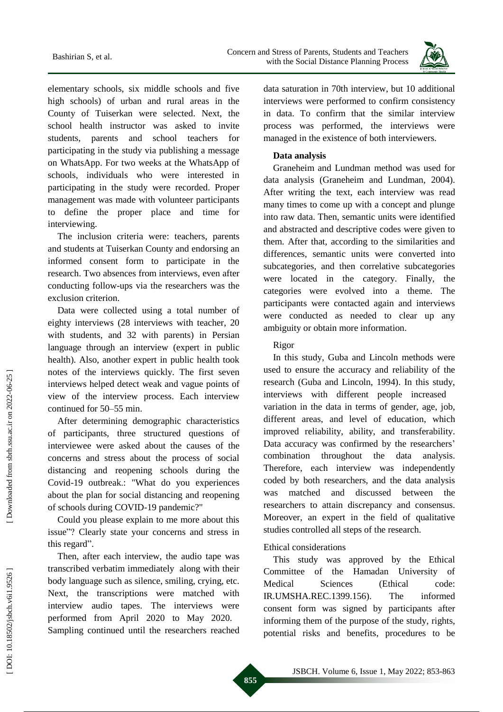Concern and Stress of Parents, Students and Teachers Bashirian S, et al.<br>Bashirian S, et al.<br>Bashirian Success Bashirian Sitess Bashirian S, et al.<br>Bistance Planning Process



elementary schools, six middle schools and five high schools) of urban and rural areas in the County of T uiserkan were selected. Next, the school health instructor was asked to invite students, parents and school teachers for participating in the study via publishing a message on WhatsApp . For two weeks at the WhatsApp of schools , individuals who were interested in participating in the study were recorded . Proper management was made with volunteer participants to define the proper place and time for interviewing.

The inclusion criteria were : teachers, parents and students at T uiserkan County and endorsing an informed consent form to participate in the research. Two absence s from interviews , even after conducting follow -ups via the researchers was the exclusion criterion .

Data were collected using a total number of eighty interviews ( 28 interviews with teacher, 20 with students, and 32 with parents) in Persian language through an interview (expert in public health). Also, another expert in public health took notes of the interviews quickly. The first seven interviews helped detect weak and vague points of view of the interview process. Each interview continued for 50 –55 min.

After determining demographic characteristics of participants, three structured questions of interviewee were asked about the causes of the concerns and stress about the process of social distancing and reopening schools during the Covid -19 outbreak .: "What do you experiences about the plan for social distancing and reopening of schools during COVID -19 pandemic?"

Could you please explain to me more about this issue"? Clearly state your concerns and stress in this regard".

Then, after each interview, the audio tape was transcribed verbatim immediately along with their body language such as silence, smiling, crying, etc. Next, the transcriptions were matched with interview audio tapes. The interviews were performed from April 2020 to May 2020. Sampling continue d until the researcher s reached data saturation in 70th interview, but 10 additional interviews were performed to confirm consistency in data. To confirm that the similar interview process was performed, the interviews were managed in the existence of both interviewers.

## **Data analysis**

Graneheim and Lundman method was used for data analysis (Graneheim and Lundman, 2004). After writing the text, each interview was read many times to come up with a concept and plunge into raw data. Then, semantic units were identified and abstracted and descriptive codes were given to them. After that, according to the similarities and differences, semantic units were converted into subcategories, and then correlative subcategories were located in the category. Finally, the categories were evolved into a theme. The participants were contacted again and interviews were conducted as needed to clear up any ambiguity or obtain more information.

## Rigor

In this study, G uba and Lincoln methods were used to ensure the accuracy and reliability of the research (Guba and Lincoln, 1994). In this study, interviews with different people increased variation in the data in terms of gender, age, job, different areas, and level of education, which improved reliability, ability, and transferability. Data accuracy was confirmed by the researchers' combination throughout the data analysis. Therefore, each interview was independently coded by both researchers, and the data analysis was matched and discussed between the researchers to attain discrepancy and consensus. Moreover, an expert in the field of qualitative studies controlled all steps of the research.

## Ethical considerations

This study was approved by the Ethical Committee of the Hamadan University of Medical Sciences (Ethical code: IR.UMSHA.REC.1399.156). The informed consent form was signed by participants after informing them of the purpose of the study, rights, potential risks and benefits, procedures to be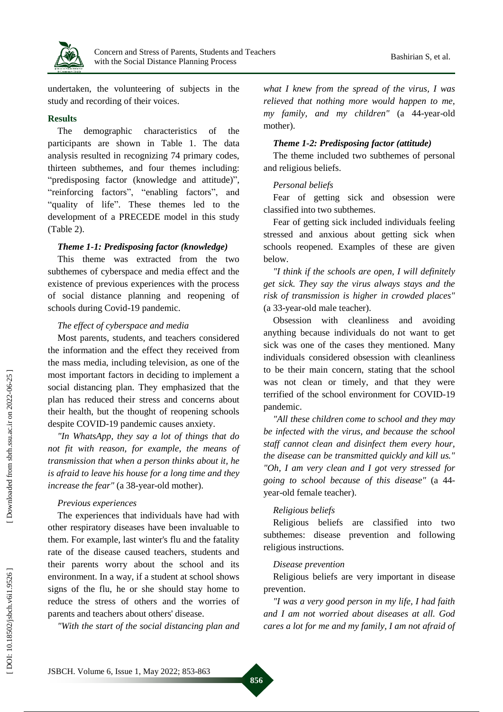

undertaken, the volunteering of subjects in the study and recording of their voices.

#### **Results**

The demographic characteristics of the participants are show n in Table 1. The data analysis resulted in recognizing 74 primary codes, thirteen subthemes, and four themes including: "predisposing factor (knowledge and attitude)", "reinforcing factors", "enabling factors", and "quality of life". These themes led to the development of a PRECEDE model in this study (Table 2).

## *Theme 1 - 1: Predisposing factor (knowledge)*

This theme was extracted from the two subthemes of cyberspace and media effect and the existence of previous experiences with the process of social distance planning and reopening of schools during Covid -19 pandemic.

## *The effect of cyberspace and media*

Most parents, students, and teachers considered the information and the effect they received from the mass media, including television, as one of the most important factors in deciding to implement a social distancing plan. They emphasized that the plan has reduced their stress and concerns about their health, but the thought of reopening schools despite COVID -19 pandemic causes anxiety.

*"In WhatsApp, they say a lot of things that do not fit with reason, for example, the means of transmission that when a person thinks about it, he is afraid to leave his house for a long time and they*  increase the fear" (a 38-year-old mother).

## *Previous experiences*

The experiences that individuals have had with other respiratory diseases have been invaluable to them. For example, last winter's flu and the fatality rate of the disease caused teachers, students and their parents worry about the school and its environment. In a way, if a student at school shows signs of the flu, he or she should stay home to reduce the stress of others and the worries of parents and teachers about others' disease.

*"With the start of the social distancing plan and* 

*what I knew from the spread of the virus, I was relieved that nothing more would happen to me, my family, and my children"* (a 44 -year -old mother).

## *Theme 1 - 2: Predisposing factor (attitude)*

The theme included two subthemes of personal and religious beliefs.

## *Personal beliefs*

Fear of getting sick and obsession were classified into two subthemes .

Fear of getting sick included individuals feeling stressed and anxious about getting sick when schools reopened. Examples of these are given below.

*"I think if the schools are open, I will definitely get sick. They say the virus always stays and the risk of transmission is higher in crowded places"* (a 33 -year -old male teacher).

Obsession with cleanliness and avoiding anything because individuals do not want to get sick was one of the cases they mentioned. Many individuals considered obsession with cleanliness to be their main concern, stating that the school was not clean or timely, and that they were terrified of the school environment for COVID -19 pandemic.

*"All these children come to school and they may be infected with the virus, and because the school staff cannot clean and disinfect them every hour, the disease can be transmitted quickly and kill us." "Oh, I am very clean and I got very stressed for going to school because of this disease"* (a 44 year -old female teacher).

## *Religious beliefs*

Religious beliefs are classified into two subthemes: disease prevention and following religious instructions.

## *Disease prevention*

Religious beliefs are very important in disease prevention.

*"I was a very good person in my life, I had faith and I am not worried about diseases at all. God cares a lot for me and my family, I am not afraid of* 

Downloaded from sbrh.ssu.ac.ir on 2022-06-25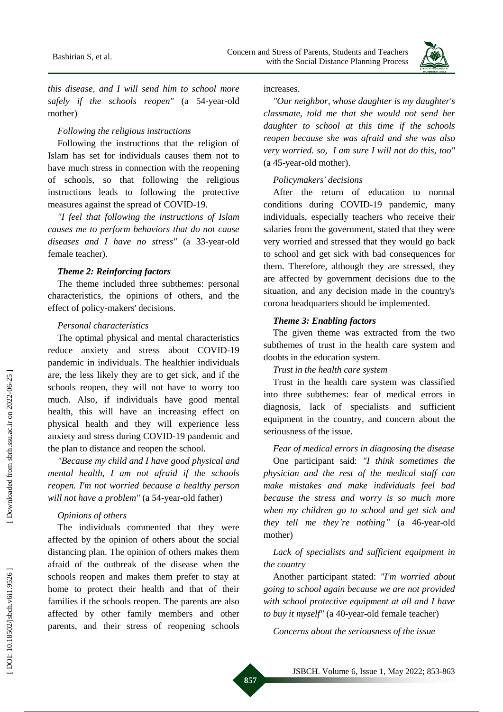

*this disease, and I will send him to school more*  safely if the schools reopen" (a 54-year-old mother )

## *Following the religious instructions*

Following the instructions that the religion of Islam has set for individuals causes them not to have much stress in connection with the reopening of schools , so that following the religious instructions leads to following the protective measures against the spread of COVID -19 .

*"I feel that following the instructions of Islam causes me to perform behaviors that do not cause*  diseases and *I have no stress*" (a 33-year-old female teacher).

#### *Theme 2: Reinforcing factors*

The theme included three subthemes: personal characteristics, the opinions of others, and the effect of policy -makers' decisions.

#### *Personal characteristics*

The optimal physical and mental characteristics reduce anxiety and stress about COVID -19 pandemic in individuals. The healthier individuals are, the less likely they are to get sick, and if the schools reopen, they will not have to worry too much. Also, if individuals have good mental health, this will have an increasing effect on physical health and they will experience less anxiety and stress during COVID -19 pandemic and the plan to distance and reopen the school.

*"Because my child and I have good physical and mental health, I am not afraid if the schools reopen. I'm not worried because a healthy person*  will not have a problem" (a 54-year-old father)

### *Opinions of others*

The individuals commented that they were affected by the opinion of others about the social distancing plan. The opinion of others makes them afraid of the outbreak of the disease when the schools reopen and makes them prefer to stay at home to protect their health and that of their families if the schools reopen. The parents are also affected by other family members and other parents, and their stress of reopening schools

increases.

*"Our neighbor, whose daughter is my daughter's classmate, told me that she would not send her daughter to school at this time if the schools reopen because she was afraid and she was also very worried . so, I am sure I will not do this, too "* (a 45 -year -old mother).

#### *Policymakers' decisions*

After the return of education to normal conditions during COVID -19 pandemic, many individuals, especially teachers who receive their salaries from the government, stated that they were very worried and stressed that they would go back to school and get sick with bad consequences for them. Therefore, although they are stressed, they are affected by government decisions due to the situation, and any decision made in the country's corona headquarters should be implemented.

#### *Theme 3: Enabling factors*

The given theme was extracted from the two subthemes of trust in the health care system and doubts in the education system.

*Trust in the health care system*

Trust in the health care system was classified into three subthemes: fear of medical errors in diagnosis, lack of specialists and sufficient equipment in the country, and concern about the seriousness of the issue.

*Fear of medical errors in diagnosing the disease*  One participant said: *"I think sometimes the physician and the rest of the medical staff can make mistakes and make individuals feel bad because the stress and worry is so much more when my children go to school and get sick and they tell me they 're nothing "* (a 46 -year -old mother )

## *Lack of specialists and sufficient equipment in the country*

Another participant stated: *"I'm worried about going to school again because we are not provided with school protective equipment at all and I have*  to buy it myself" (a 40-year-old female teacher)

*Concerns about the seriousness of the issue*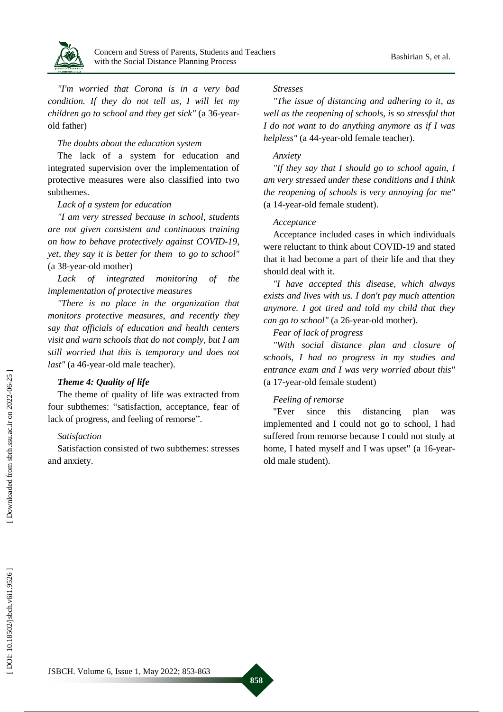

*"I'm worried that Corona is in a very bad condition . If they do not tell us, I will let my*  children go to school and they get sick" (a 36-yearold father )

## *The doubts about the education system*

The lack of a system for education and integrated supervision over the implementation of protective measures were also classified into two subthemes .

## *Lack of a system for education*

*"I am very stressed because in school , students are not given consistent and continuous training on how to behave protectively against COVID -19, yet, they say it is better for them to go to school"* (a 38-year-old mother)

*Lack of integrated monitoring of the implementation of protective measures*

*"There is no place in the organization that monitors protective measures, and recently they say that officials of education and health centers visit and warn schools that do not comply, but I am still worried that this is temporary and does not*  last" (a 46-year-old male teacher).

## *Theme 4: Quality of life*

The theme of quality of life was extracted from four subthemes: "satisfaction, acceptance, fear of lack of progress, and feeling of remorse".

## *Satisfaction*

Satisfaction consisted of two subthemes: stresses and anxiety.

## *Stresses*

*"The issue of distancing and adhering to it, as well as the reopening of schools, is so stressful that I do not want to do anything anymore as if I was helpless"* (a 44 -year -old female teacher).

## *Anxiety*

*"If they say that I should go to school again, I am very stressed under these conditions and I think the reopening of schools is very annoying for me"* (a 14 -year -old female student).

## *Acceptance*

Acceptance included cases in which individuals were reluctant to think about COVID -19 and stated that it had become a part of their life and that they should deal with it.

*"I have accepted this disease, which always exists and lives with us. I don't pay much attention anymore. I got tired and told my child that they* can go to school" (a 26-year-old mother).

## *Fear of lack of progress*

*"With social distance plan and closure of schools, I had no progress in my studies and entrance exam and I was very worried about this"* (a 17 -year -old female student)

## *Feeling of remorse*

"Ever since this distancing plan was implemented and I could not go to school, I ha d suffered from remorse because I could not study at home, I hated myself and I was upset" (a 16-yearold male student).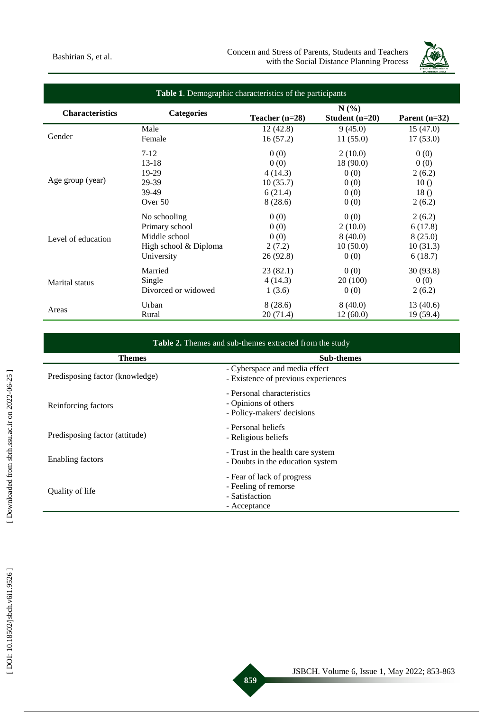

| Table 1. Demographic characteristics of the participants |                       |                  |                          |                 |  |
|----------------------------------------------------------|-----------------------|------------------|--------------------------|-----------------|--|
| <b>Characteristics</b>                                   | <b>Categories</b>     | Teacher $(n=28)$ | N(%)<br>Student $(n=20)$ | Parent $(n=32)$ |  |
| Gender                                                   | Male                  | 12(42.8)         | 9(45.0)                  | 15(47.0)        |  |
|                                                          | Female                | 16(57.2)         | 11(55.0)                 | 17(53.0)        |  |
| Age group (year)                                         | $7-12$                | 0(0)             | 2(10.0)                  | 0(0)            |  |
|                                                          | $13-18$               | 0(0)             | 18(90.0)                 | 0(0)            |  |
|                                                          | 19-29                 | 4(14.3)          | 0(0)                     | 2(6.2)          |  |
|                                                          | 29-39                 | 10(35.7)         | 0(0)                     | 10()            |  |
|                                                          | 39-49                 | 6(21.4)          | 0(0)                     | 18()            |  |
|                                                          | Over 50               | 8(28.6)          | 0(0)                     | 2(6.2)          |  |
| Level of education                                       | No schooling          | 0(0)             | 0(0)                     | 2(6.2)          |  |
|                                                          | Primary school        | 0(0)             | 2(10.0)                  | 6(17.8)         |  |
|                                                          | Middle school         | 0(0)             | 8(40.0)                  | 8(25.0)         |  |
|                                                          | High school & Diploma | 2(7.2)           | 10(50.0)                 | 10(31.3)        |  |
|                                                          | University            | 26(92.8)         | 0(0)                     | 6(18.7)         |  |
| Marital status                                           | Married               | 23(82.1)         | 0(0)                     | 30 (93.8)       |  |
|                                                          | Single                | 4(14.3)          | 20(100)                  | 0(0)            |  |
|                                                          | Divorced or widowed   | 1(3.6)           | 0(0)                     | 2(6.2)          |  |
| Areas                                                    | Urban                 | 8(28.6)          | 8(40.0)                  | 13(40.6)        |  |
|                                                          | Rural                 | 20(71.4)         | 12(60.0)                 | 19(59.4)        |  |

| Table 2. Themes and sub-themes extracted from the study |                                                                                      |  |  |
|---------------------------------------------------------|--------------------------------------------------------------------------------------|--|--|
| <b>Themes</b>                                           | <b>Sub-themes</b>                                                                    |  |  |
| Predisposing factor (knowledge)                         | - Cyberspace and media effect<br>- Existence of previous experiences                 |  |  |
| Reinforcing factors                                     | - Personal characteristics<br>- Opinions of others<br>- Policy-makers' decisions     |  |  |
| Predisposing factor (attitude)                          | - Personal beliefs<br>- Religious beliefs                                            |  |  |
| Enabling factors                                        | - Trust in the health care system<br>- Doubts in the education system                |  |  |
| Quality of life                                         | - Fear of lack of progress<br>- Feeling of remorse<br>- Satisfaction<br>- Acceptance |  |  |

ł.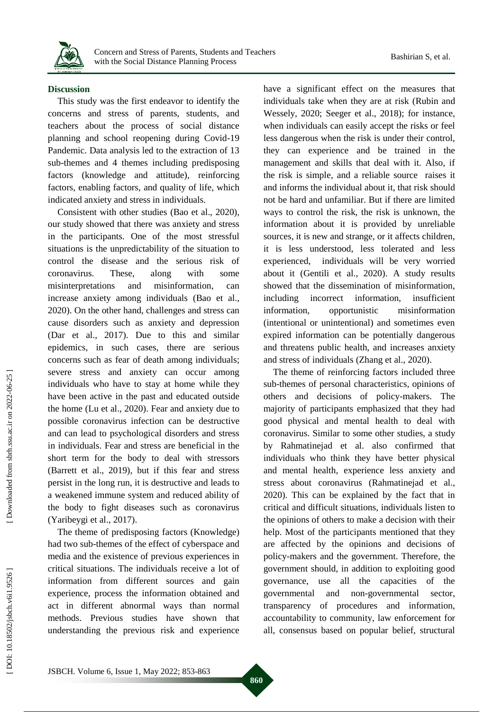

### **Discussion**

This study was the first endeavor to identify the concerns and stress of parents, students, and teachers about the process of social distance planning and school reopening during Covid -19 Pandemic. Data analysis led to the extraction of 13 sub -themes and 4 themes including predisposing factors (knowledge and attitude), reinforcing factors, enabling factors, and quality of life, which indicated anxiety and stress in individuals.

Consistent with other studies (Bao et al., 2020), our study showed that there was anxiety and stress in the participants. One of the most stressful situations is the unpredictability of the situation to control the disease and the serious risk of coronavirus. These, along with some misinterpretations and misinformation, can increase anxiety among individuals (Bao et al., 2020). On the other hand, challenges and stress can cause disorders such as anxiety and depression (Dar et al., 2017). Due to this and similar epidemics, in such cases, there are serious concerns such as fear of death among individuals ; severe stress and anxiety can occur among individuals who have to stay at home while they have been active in the past and educated outside the home (Lu et al., 2020). Fear and anxiety due to possible coronavirus infection can be destructive and can lead to psychological disorders and stress in individuals. Fear and stress are beneficial in the short term for the body to deal with stressors (Barrett et al., 2019), but if this fear and stress persist in the long run, it is destructive and leads to a weakened immune system and reduced ability of the body to fight diseases such as coronavirus (Yaribeygi et al., 2017) .

The theme of predisposing factors (Knowledge) had two sub -themes of the effect of cyberspace and media and the existence of previous experiences in critical situations. The individuals receive a lot of information from different sources and gain experience, process the information obtained and act in different abnormal ways than normal methods. Previous studies have shown that understanding the previous risk and experience

have a significant effect o n the measures that individuals take when they are at risk (Rubin and Wessely, 2020; Seeger et al., 2018) ; for instance, when individuals can easily accept the risks or feel less dangerous when the risk is under their control, they can experience and be trained in the management and skills that deal with it. Also, if the risk is simple , and a reliable source raise s it and informs the individual about it, that risk should not be hard and unfamiliar. But if there are limited ways to control the risk, the risk is unknown, the information about it is provided by unreliable sources, it is new and strange, or it affects children, it is less understood, less tolerated and less experienced, individuals will be very worried about it (Gentili et al., 2020). A study results showed that the dissemination of misinformation, including incorrect information, insufficient information, opportunistic misinformation (intentional or unintentional) and sometimes even expired information can be potentially dangerous and threaten s public health, and increase s anxiety and stress of individuals (Zhang et al., 2020).

The theme of reinforcing factors included three sub -themes of personal characteristics, opinions of others and decisions of policy -makers. The majority of participants emphasized that they had good physical and mental health to deal with coronavirus. Similar to some other studies, a study by Rahmatinejad et al. also confirmed that individuals who think they have better physical and mental health , experience less anxiety and stress about coronavirus (Rahmatinejad et al., 2020). This can be explained by the fact that in critical and difficult situations, individuals listen to the opinions of others to make a decision with their help. Most of the participants mentioned that they are affected by the opinions and decisions of policy -makers and the government. Therefore, the government should, in addition to exploiting good governance, use all the capacities of the governmental and non-governmental sector, transparency of procedures and information, accountability to community, law enforcement for all, consensus based on popular belief, structural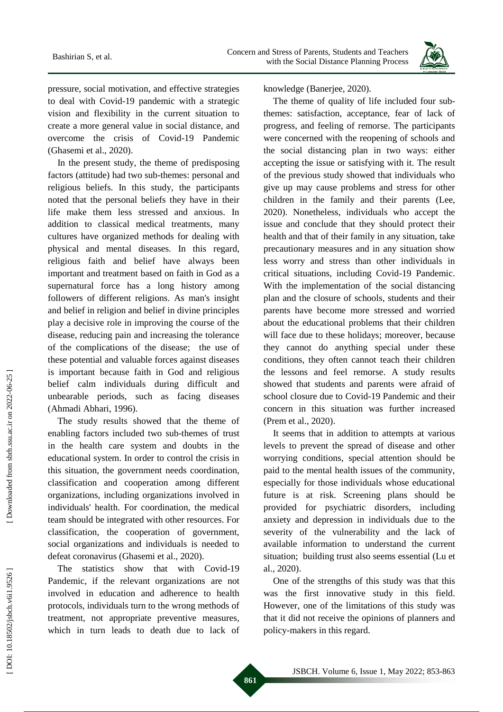

pressure, social motivation , and effective strategies to deal with Covid -19 pandemic with a strategic vision and flexibility in the current situation to create a more general value in social distance, and overcome the crisis of Covid -19 Pandemic (Ghasemi et al., 2020) .

In the present study, the theme of predisposing factors (attitude) had two sub -themes: personal and religious beliefs. In this study, the participants noted that the personal beliefs they have in their life make them less stressed and anxious. In addition to classical medical treatments, many cultures have organized methods for dealing with physical and mental diseases. In this regard, religious faith and belief have always been important and treatment based on faith in God as a supernatural force has a long history among followers of different religions. As man's insight and belief in religion and belief in divine principles play a decisive role in improving the course of the disease, reducing pain and increasing the tolerance of the complications of the disease ; the use of these potential and valuable forces against diseases is important because faith in God and religious belief calm individuals during difficult and unbearable periods, such as facing diseases (Ahmadi Abhari, 1996).

The study results showed that the theme of enabling factors included two sub -themes of trust in the health care system and doubts in the educational system. In order to control the crisis in this situation, the government needs coordination, classification and cooperation among different organizations, including organizations involved in individuals' health. For coordination, the medical team should be integrate d with other resources. For classification, the cooperation of government, social organizations and individuals is needed to defeat coronavirus (Ghasemi et al., 2020) .

The statistics show that with Covid -19 Pandemic, if the relevant organizations are not involved in education and adherence to health protocols, individuals turn to the wrong methods of treatment , not appropriate preventive measures, which in turn leads to death due to lack of

knowledge (Banerjee, 2020).

The theme of quality of life included four subthemes: satisfaction, acceptance, fear of lack of progress, and feeling of remorse. The participants were concerned with the reopening of schools and the social distancing plan in two ways : either accepting the issue or satisfying with it. The result of the previous study showed that individuals who give up may cause problems and stress for other children in the family and their parents (Lee, 2020). Nonetheless, individuals who accept the issue and conclude that they should protect their health and that of their family in any situation, take precautionary measures and in any situation show less worry and stress than other individuals in critical situations, including Covid -19 Pandemic. With the implementation of the social distancing plan and the closure of schools, students and their parents have become more stressed and worried about the educational problems that their children will face due to these holidays ; moreover, because they cannot do anything special under these conditions , they often cannot teach their children the lessons and feel remorse. A study results showed that students and parents were afraid of school closure due to Covid -19 Pandemic and their concern in this situation was further increased (Prem et al., 2020).

It seems that in addition to attempts at various levels to prevent the spread of disease and other worrying conditions, special attention should be paid to the mental health issues of the community, especially for those individuals whose educational future is at risk. Screening plans should be provided for psychiatric disorders, including anxiety and depression in individuals due to the severity of the vulnerability and the lack of available information to understand the current situation ; building trust also seems essential (Lu et al., 2020).

One of the strengths of this study was that this was the first innovative study in this field. However, one of the limitations of this study was that it did not receive the opinions of planners and policy -makers in this regard.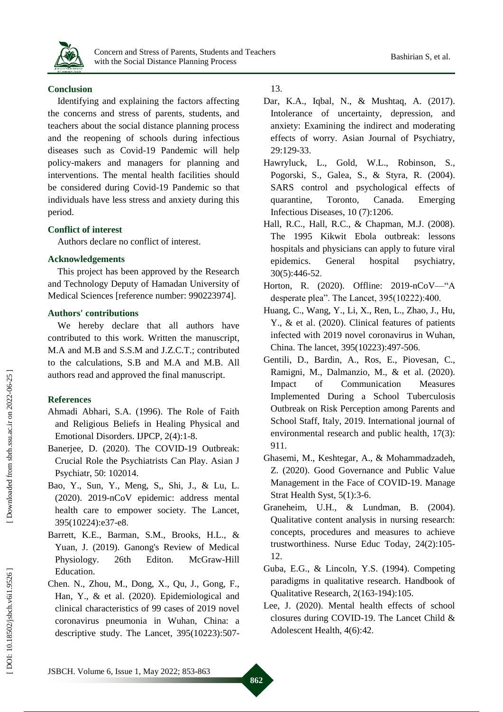

## **Conclusion**

Identifying and explaining the factors affecting the concerns and stress of parents, students, and teachers about the social distance planning process and the reopening of schools during infectious diseases such as Covid -19 Pandemic will help policy -makers and managers for planning and interventions. The mental health facilities should be considered during Covid -19 Pandemic so that individuals have less stress and anxiety during this period.

## **Conflict of interest**

Authors declare no conflict of interest.

## **Acknowledgements**

This project has been approved by the Research and Technology Deputy of Hamadan University of Medical Sciences [reference number: 990223974] .

## **Authors' contributions**

We hereby declare that all authors have contributed to this work. Written the manuscript , M.A and M.B and S.S.M and J.Z.C.T.; contributed to the calculations, S.B and M.A and M.B. All authors read and approved the final manuscript.

## **References**

- Ahmadi Abhari, S.A. (1996). The Role of Faith and Religious Beliefs in Healing Physical and Emotional Disorders. IJPCP, 2(4):1 -8.
- Banerjee, D. (2020). The COVID -19 Outbreak: Crucial Role the Psychiatrists Can Play. Asian J Psychiatr, 50: 102014.
- Bao, Y., Sun, Y., Meng, S,, Shi, J., & Lu, L. (2020). 2019 -nCoV epidemic: address mental health care to empower society. The Lancet, 395(10224):e37 -e8 .
- Barrett, K.E., Barman, S.M., Brooks, H.L., & Yuan, J. (2019). Ganong's Review of Medical Physiology. 26th Editon. McGraw-Hill Education.
- Chen. N., Zhou, M., Dong, X., Qu, J., Gong, F., Han, Y., & et al. (2020). Epidemiological and clinical characteristics of 99 cases of 2019 novel coronavirus pneumonia in Wuhan, China: a descriptive study. The Lancet, 395(10223):507 -

## 13 .

- Dar, K.A., Iqbal, N., & Mushtaq, A. (2017). Intolerance of uncertainty, depression, and anxiety: Examining the indirect and moderating effects of worry. Asian Journal of Psychiatry, 29:129 -33 .
- Hawryluck, L., Gold, W.L., Robinson, S., Pogorski, S., Galea, S., & Styra, R. (2004). SARS control and psychological effects of quarantine, Toronto, Canada. Emerging Infectious Diseases, 10 (7):1206.
- Hall, R.C., Hall, R.C., & Chapman, M.J. (2008). The 1995 Kikwit Ebola outbreak: lessons hospitals and physicians can apply to future viral epidemics. General hospital psychiatry, 30(5):446 -52 .
- Horton, R. (2020). Offline: 2019-nCoV—"A desperate plea". The Lancet,  $395(10222):400$ .
- Huang, C., Wang, Y., Li, X., Ren, L., Zhao, J., Hu, Y., & et al. (2020). Clinical features of patients infected with 2019 novel coronavirus in Wuhan, China. The lancet, 395(10223):497 -506 .
- Gentili, D., Bardin, A., Ros, E., Piovesan, C., Ramigni, M., Dalmanzio, M., & et al. (2020). Impact of Communication Measures Implemented During a School Tuberculosis Outbreak on Risk Perception among Parents and School Staff, Italy, 2019. International journal of environmental research and public health, 17(3): 911.
- Ghasemi, M., Keshtegar, A., & Mohammadzadeh, Z. (2020). Good Governance and Public Value Management in the Face of COVID -19. Manage Strat Health Syst, 5(1):3 -6.
- Graneheim, U.H., & Lundman, B. (2004). Qualitative content analysis in nursing research: concepts, procedures and measures to achieve trustworthiness. Nurse Educ Today, 24(2):105 - 12.
- Guba, E.G., & Lincoln, Y.S. (1994). Competing paradigms in qualitative research. Handbook of Qualitative Research, 2(163 -194):105.
- Lee, J. (2020). Mental health effects of school closures during COVID -19. The Lancet Child & Adolescent Health, 4(6):42 .